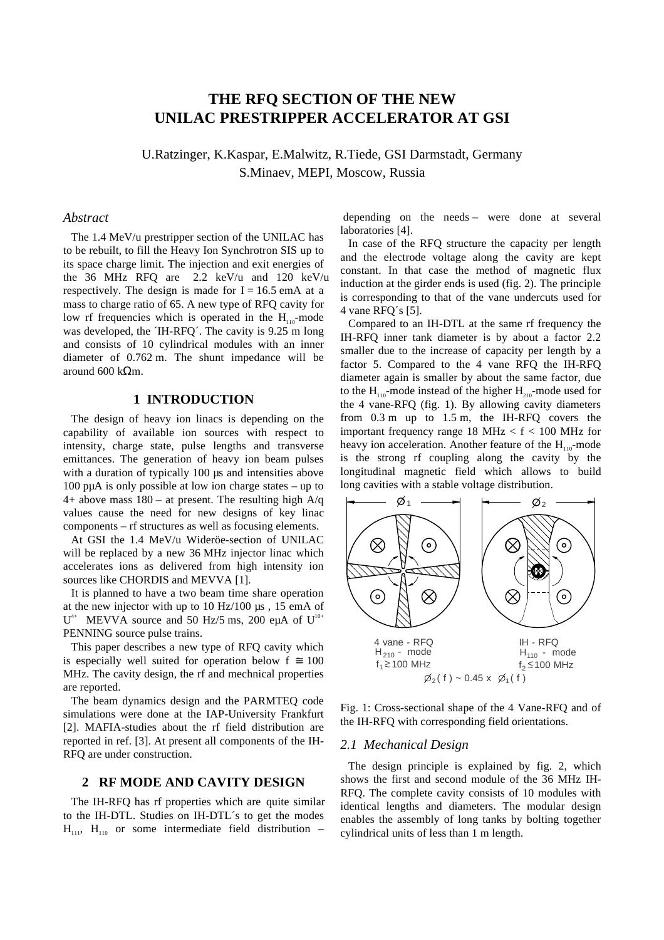# **THE RFQ SECTION OF THE NEW UNILAC PRESTRIPPER ACCELERATOR AT GSI**

U.Ratzinger, K.Kaspar, E.Malwitz, R.Tiede, GSI Darmstadt, Germany S.Minaev, MEPI, Moscow, Russia

# *Abstract*

The 1.4 MeV/u prestripper section of the UNILAC has to be rebuilt, to fill the Heavy Ion Synchrotron SIS up to its space charge limit. The injection and exit energies of the 36 MHz RFQ are 2.2 keV/u and 120 keV/u respectively. The design is made for  $I = 16.5$  emA at a mass to charge ratio of 65. A new type of RFQ cavity for low rf frequencies which is operated in the  $H_{110}$ -mode was developed, the ´IH-RFQ´. The cavity is 9.25 m long and consists of 10 cylindrical modules with an inner diameter of 0.762 m. The shunt impedance will be around 600 kΩm.

# **1 INTRODUCTION**

The design of heavy ion linacs is depending on the capability of available ion sources with respect to intensity, charge state, pulse lengths and transverse emittances. The generation of heavy ion beam pulses with a duration of typically 100 µs and intensities above 100 pµA is only possible at low ion charge states – up to 4+ above mass  $180 - at$  present. The resulting high A/q values cause the need for new designs of key linac components – rf structures as well as focusing elements.

At GSI the 1.4 MeV/u Wideröe-section of UNILAC will be replaced by a new 36 MHz injector linac which accelerates ions as delivered from high intensity ion sources like CHORDIS and MEVVA [1].

It is planned to have a two beam time share operation at the new injector with up to 10 Hz/100 µs , 15 emA of  $U^{4+}$  MEVVA source and 50 Hz/5 ms, 200 euA of  $U^{10+}$ PENNING source pulse trains.

This paper describes a new type of RFQ cavity which is especially well suited for operation below  $f \approx 100$ MHz. The cavity design, the rf and mechnical properties are reported.

The beam dynamics design and the PARMTEQ code simulations were done at the IAP-University Frankfurt [2]. MAFIA-studies about the rf field distribution are reported in ref. [3]. At present all components of the IH-RFQ are under construction.

## **2 RF MODE AND CAVITY DESIGN**

The IH-RFQ has rf properties which are quite similar to the IH-DTL. Studies on IH-DTL´s to get the modes  $H_{111}$ ,  $H_{110}$  or some intermediate field distribution –

 depending on the needs – were done at several laboratories [4].

In case of the RFQ structure the capacity per length and the electrode voltage along the cavity are kept constant. In that case the method of magnetic flux induction at the girder ends is used (fig. 2). The principle is corresponding to that of the vane undercuts used for 4 vane RFQ´s [5].

Compared to an IH-DTL at the same rf frequency the IH-RFQ inner tank diameter is by about a factor 2.2 smaller due to the increase of capacity per length by a factor 5. Compared to the 4 vane RFQ the IH-RFQ diameter again is smaller by about the same factor, due to the  $H_{110}$ -mode instead of the higher  $H_{210}$ -mode used for the 4 vane-RFQ (fig. 1). By allowing cavity diameters from 0.3 m up to 1.5 m, the IH-RFQ covers the important frequency range 18 MHz  $< f < 100$  MHz for heavy ion acceleration. Another feature of the  $H_{110}$ -mode is the strong rf coupling along the cavity by the longitudinal magnetic field which allows to build long cavities with a stable voltage distribution.



Fig. 1: Cross-sectional shape of the 4 Vane-RFQ and of the IH-RFQ with corresponding field orientations.

#### *2.1 Mechanical Design*

The design principle is explained by fig. 2, which shows the first and second module of the 36 MHz IH-RFQ. The complete cavity consists of 10 modules with identical lengths and diameters. The modular design enables the assembly of long tanks by bolting together cylindrical units of less than 1 m length.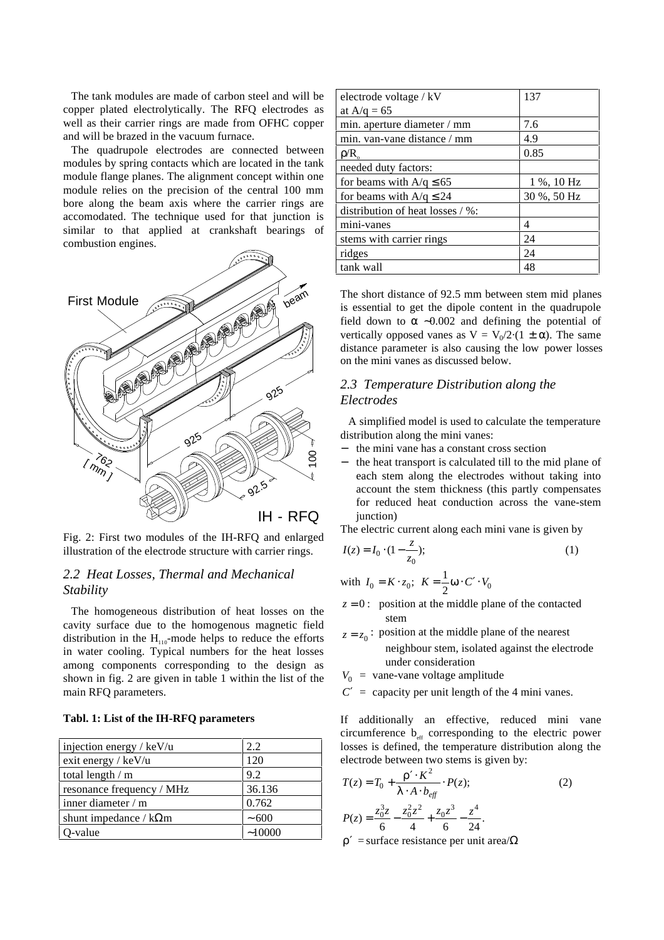The tank modules are made of carbon steel and will be copper plated electrolytically. The RFQ electrodes as well as their carrier rings are made from OFHC copper and will be brazed in the vacuum furnace.

The quadrupole electrodes are connected between modules by spring contacts which are located in the tank module flange planes. The alignment concept within one module relies on the precision of the central 100 mm bore along the beam axis where the carrier rings are accomodated. The technique used for that junction is similar to that applied at crankshaft bearings of combustion engines.



Fig. 2: First two modules of the IH-RFQ and enlarged illustration of the electrode structure with carrier rings.

# *2.2 Heat Losses, Thermal and Mechanical Stability*

The homogeneous distribution of heat losses on the cavity surface due to the homogenous magnetic field distribution in the  $H_{110}$ -mode helps to reduce the efforts in water cooling. Typical numbers for the heat losses among components corresponding to the design as shown in fig. 2 are given in table 1 within the list of the main RFQ parameters.

#### **Tabl. 1: List of the IH-RFQ parameters**

| injection energy / $keV/u$    | 2.2        |
|-------------------------------|------------|
| exit energy / keV/u           | 120        |
| total length $/m$             | 9.2        |
| resonance frequency / MHz     | 36.136     |
| inner diameter / m            | 0.762      |
| shunt impedance / $k\Omega$ m | $~1$ – 600 |
| O-value                       | ~10000     |

| electrode voltage / kV<br>at $A/q = 65$ | 137                    |
|-----------------------------------------|------------------------|
|                                         | 7.6                    |
| min. aperture diameter / mm             |                        |
| min. van-vane distance / mm             | 4.9                    |
| $\rho/R$                                | 0.85                   |
| needed duty factors:                    |                        |
| for beams with $A/q \le 65$             | $1\%$ , $10\text{ Hz}$ |
| for beams with $A/q \leq 24$            | 30 %, 50 Hz            |
| distribution of heat losses / %:        |                        |
| mini-vanes                              | 4                      |
| stems with carrier rings                | 24                     |
| ridges                                  | 24                     |
| tank wall                               | 48                     |

The short distance of 92.5 mm between stem mid planes is essential to get the dipole content in the quadrupole field down to  $\alpha$  ~0.002 and defining the potential of vertically opposed vanes as  $V = V_0/2(1 \pm \alpha)$ . The same distance parameter is also causing the low power losses on the mini vanes as discussed below.

# *2.3 Temperature Distribution along the Electrodes*

A simplified model is used to calculate the temperature distribution along the mini vanes:

- − the mini vane has a constant cross section
- the heat transport is calculated till to the mid plane of each stem along the electrodes without taking into account the stem thickness (this partly compensates for reduced heat conduction across the vane-stem junction)

The electric current along each mini vane is given by

$$
I(z) = I_0 \cdot (1 - \frac{z}{z_0});
$$
 (1)

with 
$$
I_0 = K \cdot z_0
$$
;  $K = \frac{1}{2} \omega \cdot C' \cdot V_0$ 

- $z = 0$ : position at the middle plane of the contacted stem
- $z = z_0$ : position at the middle plane of the nearest neighbour stem, isolated against the electrode under consideration
- $V_0$  = vane-vane voltage amplitude
- $C'$  = capacity per unit length of the 4 mini vanes.

If additionally an effective, reduced mini vane circumference  $b_{\text{eff}}$  corresponding to the electric power losses is defined, the temperature distribution along the electrode between two stems is given by:

$$
T(z) = T_0 + \frac{\rho' \cdot K^2}{\lambda \cdot A \cdot b_{\text{eff}}} \cdot P(z); \tag{2}
$$
  

$$
P(z) = \frac{z_0^3 z}{6} - \frac{z_0^2 z^2}{4} + \frac{z_0 z^3}{6} - \frac{z^4}{24}.
$$

 $ρ'$  = surface resistance per unit area/ $Ω$